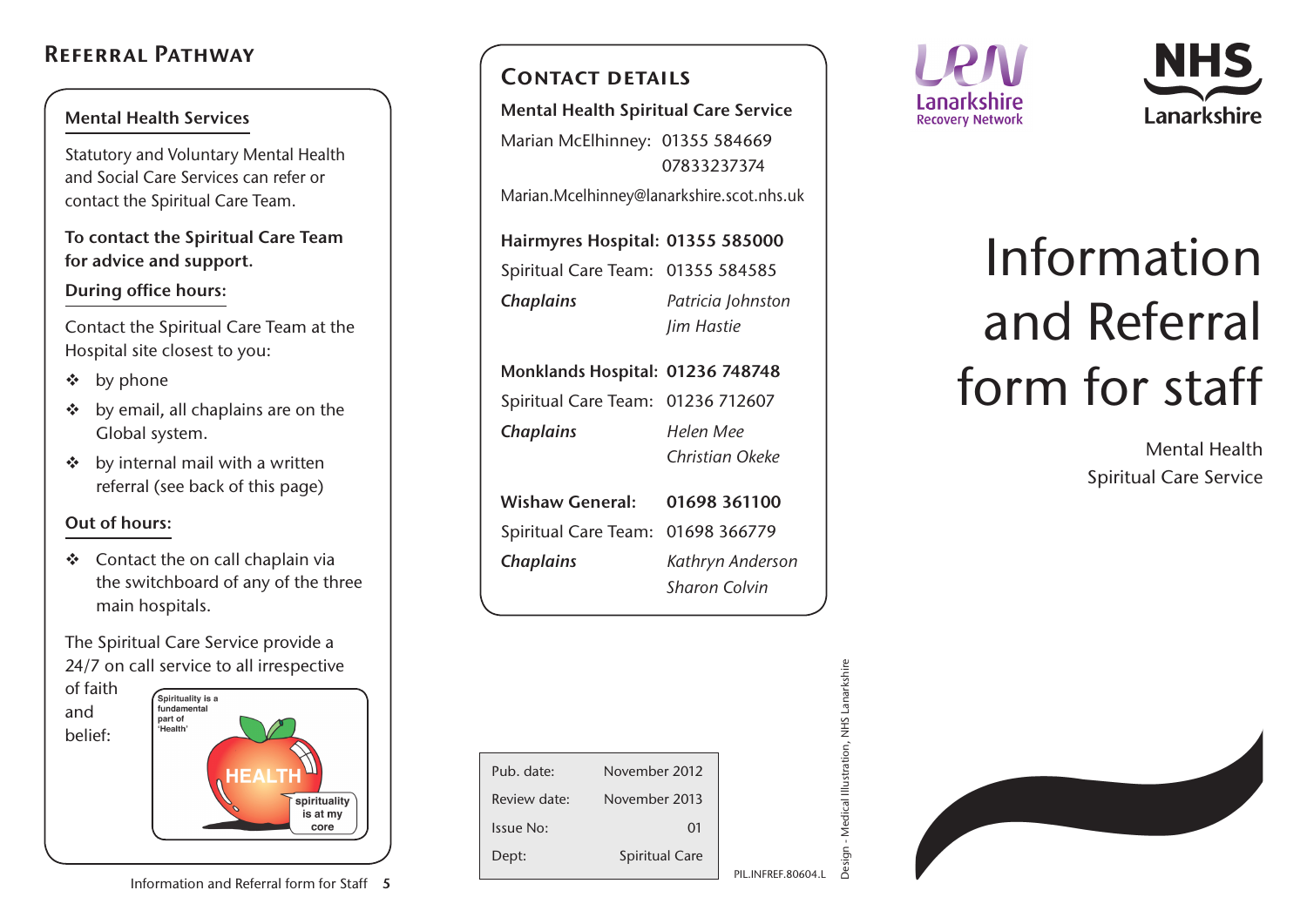## Referral Pathway

#### Mental Health Services

Statutory and Voluntary Mental Health and Social Care Services can refer or contact the Spiritual Care Team.

To contact the Spiritual Care Team for advice and support.

### During office hours:

Contact the Spiritual Care Team at the Hospital site closest to you:

- $\div$  by phone
- $\div$  by email, all chaplains are on the Global system.
- $\div$  by internal mail with a written referral (see back of this page)

### Out of hours:

 $\div$  Contact the on call chaplain via the switchboard of any of the three main hospitals.

The Spiritual Care Service provide a 24/7 on call service to all irrespective



### CONTACT DETAILS

Mental Health Spiritual Care Service Marian McElhinney: 01355 584669 07833237374 Marian.Mcelhinney@lanarkshire.scot.nhs.uk

Hairmyres Hospital: 01355 585000 Spiritual Care Team: 01355 584585 *Chaplains Patricia Johnston Jim Hastie*

|                  | Monklands Hospital: 01236 748748  |                 |  |
|------------------|-----------------------------------|-----------------|--|
|                  | Spiritual Care Team: 01236 712607 |                 |  |
| <b>Chaplains</b> |                                   | Helen Mee       |  |
|                  |                                   | Christian Okeke |  |
|                  |                                   |                 |  |

| Wishaw General: 01698 361100      |                      |  |
|-----------------------------------|----------------------|--|
| Spiritual Care Team: 01698 366779 |                      |  |
| <b>Chaplains</b>                  | Kathryn Anderson     |  |
|                                   | <b>Sharon Colvin</b> |  |

| Pub. date:   | November 2012         |                       |
|--------------|-----------------------|-----------------------|
| Review date: | November 2013         |                       |
| Issue No:    | 01                    |                       |
| Dept:        | <b>Spiritual Care</b> |                       |
|              |                       | <b>INFREF.80604.L</b> |





# Information and Referral form for staff

Mental Health Spiritual Care Service

| j<br>is a si      |
|-------------------|
| ٠                 |
| $-1.00$<br>í<br>ì |
| ľ                 |
| I.                |